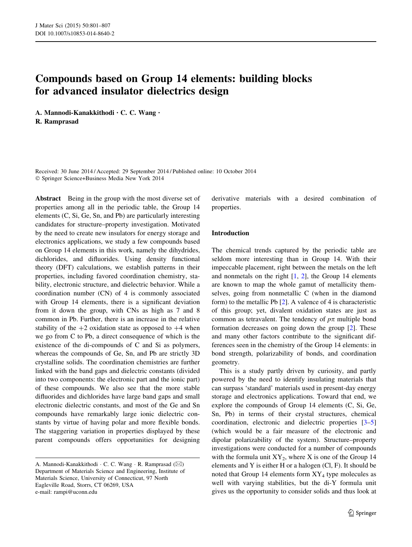# Compounds based on Group 14 elements: building blocks for advanced insulator dielectrics design

A. Mannodi-Kanakkithodi • C. C. Wang • R. Ramprasad

Received: 30 June 2014 / Accepted: 29 September 2014 / Published online: 10 October 2014 - Springer Science+Business Media New York 2014

Abstract Being in the group with the most diverse set of properties among all in the periodic table, the Group 14 elements (C, Si, Ge, Sn, and Pb) are particularly interesting candidates for structure–property investigation. Motivated by the need to create new insulators for energy storage and electronics applications, we study a few compounds based on Group 14 elements in this work, namely the dihydrides, dichlorides, and difluorides. Using density functional theory (DFT) calculations, we establish patterns in their properties, including favored coordination chemistry, stability, electronic structure, and dielectric behavior. While a coordination number (CN) of 4 is commonly associated with Group 14 elements, there is a significant deviation from it down the group, with CNs as high as 7 and 8 common in Pb. Further, there is an increase in the relative stability of the  $+2$  oxidation state as opposed to  $+4$  when we go from C to Pb, a direct consequence of which is the existence of the di-compounds of C and Si as polymers, whereas the compounds of Ge, Sn, and Pb are strictly 3D crystalline solids. The coordination chemistries are further linked with the band gaps and dielectric constants (divided into two components: the electronic part and the ionic part) of these compounds. We also see that the more stable difluorides and dichlorides have large band gaps and small electronic dielectric constants, and most of the Ge and Sn compounds have remarkably large ionic dielectric constants by virtue of having polar and more flexible bonds. The staggering variation in properties displayed by these parent compounds offers opportunities for designing

derivative materials with a desired combination of properties.

## Introduction

The chemical trends captured by the periodic table are seldom more interesting than in Group 14. With their impeccable placement, right between the metals on the left and nonmetals on the right  $[1, 2]$  $[1, 2]$  $[1, 2]$ , the Group 14 elements are known to map the whole gamut of metallicity themselves, going from nonmetallic C (when in the diamond form) to the metallic Pb [\[2](#page-6-0)]. A valence of 4 is characteristic of this group; yet, divalent oxidation states are just as common as tetravalent. The tendency of  $p\pi$  multiple bond formation decreases on going down the group [[2\]](#page-6-0). These and many other factors contribute to the significant differences seen in the chemistry of the Group 14 elements: in bond strength, polarizability of bonds, and coordination geometry.

This is a study partly driven by curiosity, and partly powered by the need to identify insulating materials that can surpass 'standard' materials used in present-day energy storage and electronics applications. Toward that end, we explore the compounds of Group 14 elements (C, Si, Ge, Sn, Pb) in terms of their crystal structures, chemical coordination, electronic and dielectric properties [[3–5\]](#page-6-0) (which would be a fair measure of the electronic and dipolar polarizability of the system). Structure–property investigations were conducted for a number of compounds with the formula unit  $XY_2$ , where X is one of the Group 14 elements and Y is either H or a halogen (Cl, F). It should be noted that Group 14 elements form  $XY_4$  type molecules as well with varying stabilities, but the di-Y formula unit gives us the opportunity to consider solids and thus look at

A. Mannodi-Kanakkithodi · C. C. Wang · R. Ramprasad ( $\boxtimes$ ) Department of Materials Science and Engineering, Institute of Materials Science, University of Connecticut, 97 North Eagleville Road, Storrs, CT 06269, USA e-mail: rampi@uconn.edu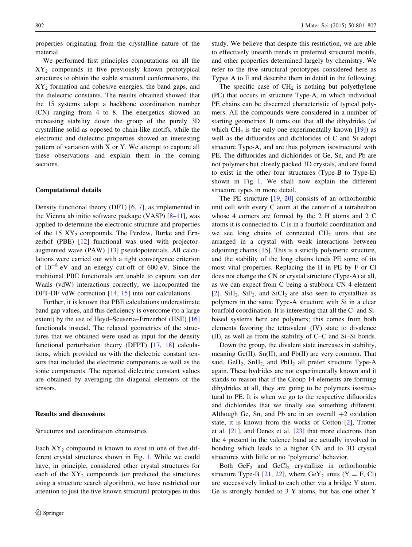properties originating from the crystalline nature of the material.

We performed first principles computations on all the  $XY<sub>2</sub>$  compounds in five previously known prototypical structures to obtain the stable structural conformations, the XY2 formation and cohesive energies, the band gaps, and the dielectric constants. The results obtained showed that the 15 systems adopt a backbone coordination number (CN) ranging from 4 to 8. The energetics showed an increasing stability down the group of the purely 3D crystalline solid as opposed to chain-like motifs, while the electronic and dielectric properties showed an interesting pattern of variation with X or Y. We attempt to capture all these observations and explain them in the coming sections.

### Computational details

Density functional theory (DFT) [[6,](#page-6-0) [7](#page-6-0)], as implemented in the Vienna ab initio software package (VASP) [\[8–11](#page-6-0)], was applied to determine the electronic structure and properties of the 15  $XY_2$  compounds. The Perdew, Burke and Ernzerhof (PBE) [\[12](#page-6-0)] functional was used with projectoraugmented wave (PAW) [\[13](#page-6-0)] pseudopotentials. All calculations were carried out with a tight convergence criterion of  $10^{-8}$  eV and an energy cut-off of 600 eV. Since the traditional PBE functionals are unable to capture van der Waals (vdW) interactions correctly, we incorporated the DFT-DF vdW correction [\[14](#page-6-0), [15](#page-6-0)] into our calculations.

Further, it is known that PBE calculations underestimate band gap values, and this deficiency is overcome (to a large extent) by the use of Heyd–Scuseria–Ernzerhof (HSE) [[16\]](#page-6-0) functionals instead. The relaxed geometries of the structures that we obtained were used as input for the density functional perturbation theory (DFPT) [\[17](#page-6-0), [18\]](#page-6-0) calculations, which provided us with the dielectric constant tensors that included the electronic components as well as the ionic components. The reported dielectric constant values are obtained by averaging the diagonal elements of the tensors.

### Results and discussions

#### Structures and coordination chemistries

Each  $XY_2$  compound is known to exist in one of five different crystal structures shown in Fig. [1.](#page-2-0) While we could have, in principle, considered other crystal structures for each of the  $XY_2$  compounds (or predicted the structures using a structure search algorithm), we have restricted our attention to just the five known structural prototypes in this study. We believe that despite this restriction, we are able to effectively unearth trends in preferred structural motifs, and other properties determined largely by chemistry. We refer to the five structural prototypes considered here as Types A to E and describe them in detail in the following.

The specific case of  $CH<sub>2</sub>$  is nothing but polyethylene (PE) that occurs in structure Type-A, in which individual PE chains can be discerned characteristic of typical polymers. All the compounds were considered in a number of starting geometries. It turns out that all the dihydrides (of which  $CH<sub>2</sub>$  is the only one experimentally known [\[19\]](#page-6-0)) as well as the difluorides and dichlorides of C and Si adopt structure Type-A, and are thus polymers isostructural with PE. The difluorides and dichlorides of Ge, Sn, and Pb are not polymers but closely packed 3D crystals, and are found to exist in the other four structures (Type-B to Type-E) shown in Fig. [1.](#page-2-0) We shall now explain the different structure types in more detail.

The PE structure  $[19, 20]$  $[19, 20]$  $[19, 20]$  $[19, 20]$  $[19, 20]$  consists of an orthorhombic unit cell with every C atom at the center of a tetrahedron whose 4 corners are formed by the 2 H atoms and 2 C atoms it is connected to. C is in a fourfold coordination and we see long chains of connected  $CH<sub>2</sub>$  units that are arranged in a crystal with weak interactions between adjoining chains [\[15](#page-6-0)]. This is a strictly polymeric structure, and the stability of the long chains lends PE some of its most vital properties. Replacing the H in PE by F or Cl does not change the CN or crystal structure (Type-A) at all, as we can expect from C being a stubborn CN 4 element [\[2](#page-6-0)].  $SiH<sub>2</sub>$ ,  $SiF<sub>2</sub>$ , and  $SiCl<sub>2</sub>$  are also seen to crystallize as polymers in the same Type-A structure with Si in a clear fourfold coordination. It is interesting that all the C- and Sibased systems here are polymers; this comes from both elements favoring the tetravalent (IV) state to divalence (II), as well as from the stability of C–C and Si–Si bonds.

Down the group, the divalent state increases in stability, meaning Ge(II), Sn(II), and Pb(II) are very common. That said,  $GeH_2$ ,  $SnH_2$  and  $PbH_2$  all prefer structure Type-A again. These hydrides are not experimentally known and it stands to reason that if the Group 14 elements are forming dihydrides at all, they are going to be polymers isostructural to PE. It is when we go to the respective difluorides and dichlorides that we finally see something different. Although Ge, Sn, and Pb are in an overall  $+2$  oxidation state, it is known from the works of Cotton [\[2](#page-6-0)], Trotter et al. [[21\]](#page-6-0), and Denes et al. [\[23](#page-6-0)] that more electrons than the 4 present in the valence band are actually involved in bonding which leads to a higher CN and to 3D crystal structures with little or no 'polymeric' behavior.

Both  $GeF_2$  and  $GeC1_2$  crystallize in orthorhombic structure Type-B [\[21](#page-6-0), [22](#page-6-0)], where  $\text{GeV}_2$  units (Y = F, Cl) are successively linked to each other via a bridge Y atom. Ge is strongly bonded to 3 Y atoms, but has one other Y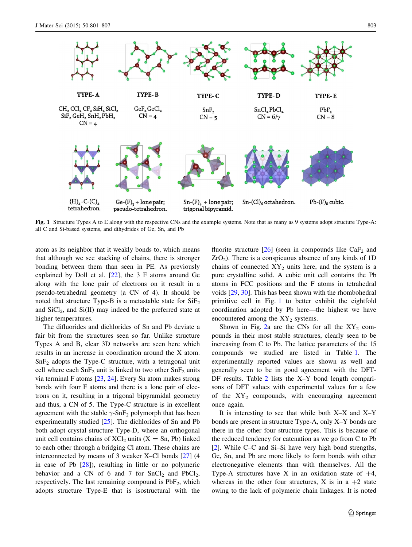<span id="page-2-0"></span>

Fig. 1 Structure Types A to E along with the respective CNs and the example systems. Note that as many as 9 systems adopt structure Type-A: all C and Si-based systems, and dihydrides of Ge, Sn, and Pb

atom as its neighbor that it weakly bonds to, which means that although we see stacking of chains, there is stronger bonding between them than seen in PE. As previously explained by Doll et al. [\[22](#page-6-0)], the 3 F atoms around Ge along with the lone pair of electrons on it result in a pseudo-tetrahedral geometry (a CN of 4). It should be noted that structure Type-B is a metastable state for  $SiF<sub>2</sub>$ and  $SiCl<sub>2</sub>$ , and  $Si(II)$  may indeed be the preferred state at higher temperatures.

The difluorides and dichlorides of Sn and Pb deviate a fair bit from the structures seen so far. Unlike structure Types A and B, clear 3D networks are seen here which results in an increase in coordination around the X atom. SnF2 adopts the Type-C structure, with a tetragonal unit cell where each  $SnF_2$  unit is linked to two other  $SnF_2$  units via terminal F atoms [\[23](#page-6-0), [24](#page-6-0)]. Every Sn atom makes strong bonds with four F atoms and there is a lone pair of electrons on it, resulting in a trigonal bipyramidal geometry and thus, a CN of 5. The Type-C structure is in excellent agreement with the stable  $\gamma$ -SnF<sub>2</sub> polymorph that has been experimentally studied [[25\]](#page-6-0). The dichlorides of Sn and Pb both adopt crystal structure Type-D, where an orthogonal unit cell contains chains of  $XCl_2$  units ( $X = Sn$ , Pb) linked to each other through a bridging Cl atom. These chains are interconnected by means of 3 weaker X–Cl bonds [\[27](#page-6-0)] (4 in case of Pb [[28\]](#page-6-0)), resulting in little or no polymeric behavior and a CN of 6 and 7 for  $SnCl<sub>2</sub>$  and  $PbCl<sub>2</sub>$ , respectively. The last remaining compound is  $PbF_2$ , which adopts structure Type-E that is isostructural with the fluorite structure  $[26]$  $[26]$  (seen in compounds like CaF<sub>2</sub> and  $ZrO<sub>2</sub>$ ). There is a conspicuous absence of any kinds of 1D chains of connected  $XY_2$  units here, and the system is a pure crystalline solid. A cubic unit cell contains the Pb atoms in FCC positions and the F atoms in tetrahedral voids [[29,](#page-6-0) [30\]](#page-6-0). This has been shown with the rhombohedral primitive cell in Fig. 1 to better exhibit the eightfold coordination adopted by Pb here—the highest we have encountered among the  $XY_2$  systems.

Shown in Fig. [2a](#page-3-0) are the CNs for all the  $XY_2$  compounds in their most stable structures, clearly seen to be increasing from C to Pb. The lattice parameters of the 15 compounds we studied are listed in Table [1.](#page-3-0) The experimentally reported values are shown as well and generally seen to be in good agreement with the DFT-DF results. Table [2](#page-4-0) lists the X–Y bond length comparisons of DFT values with experimental values for a few of the  $XY_2$  compounds, with encouraging agreement once again.

It is interesting to see that while both  $X-X$  and  $X-Y$ bonds are present in structure Type-A, only X–Y bonds are there in the other four structure types. This is because of the reduced tendency for catenation as we go from C to Pb [\[2](#page-6-0)]. While C–C and Si–Si have very high bond strengths, Ge, Sn, and Pb are more likely to form bonds with other electronegative elements than with themselves. All the Type-A structures have X in an oxidation state of  $+4$ , whereas in the other four structures, X is in a  $+2$  state owing to the lack of polymeric chain linkages. It is noted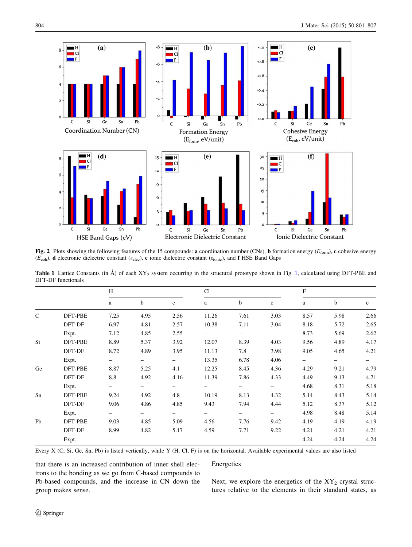<span id="page-3-0"></span>

Fig. 2 Plots showing the following features of the 15 compounds: a coordination number (CNs), b formation energy ( $E_{\text{form}}$ ), c cohesive energy  $(E_{\text{coh}})$ , d electronic dielectric constant ( $\varepsilon_{\text{elec}}$ ), e ionic dielectric constant ( $\varepsilon_{\text{ionic}}$ ), and f HSE Band Gaps

|         | H    |                          |             |                          |      |             |      |                          |             |  |
|---------|------|--------------------------|-------------|--------------------------|------|-------------|------|--------------------------|-------------|--|
|         |      |                          |             |                          | Cl   |             |      | F                        |             |  |
|         | a    | b                        | $\mathbf c$ | a                        | b    | $\mathbf c$ | a    | $\mathbf b$              | $\mathbf c$ |  |
| DFT-PBE | 7.25 | 4.95                     | 2.56        | 11.26                    | 7.61 | 3.03        | 8.57 | 5.98                     | 2.66        |  |
| DFT-DF  | 6.97 | 4.81                     | 2.57        | 10.38                    | 7.11 | 3.04        | 8.18 | 5.72                     | 2.65        |  |
| Expt.   | 7.12 | 4.85                     | 2.55        | $\overline{\phantom{0}}$ |      |             | 8.73 | 5.69                     | 2.62        |  |
| DFT-PBE | 8.89 | 5.37                     | 3.92        | 12.07                    | 8.39 | 4.03        | 9.56 | 4.89                     | 4.17        |  |
| DFT-DF  | 8.72 | 4.89                     | 3.95        | 11.13                    | 7.8  | 3.98        | 9.05 | 4.65                     | 4.21        |  |
| Expt.   | -    | $\overline{\phantom{0}}$ | -           | 13.35                    | 6.78 | 4.06        | -    | $\overline{\phantom{m}}$ | -           |  |
| DFT-PBE | 8.87 | 5.25                     | 4.1         | 12.25                    | 8.45 | 4.36        | 4.29 | 9.21                     | 4.79        |  |
| DFT-DF  | 8.8  | 4.92                     | 4.16        | 11.39                    | 7.86 | 4.33        | 4.49 | 9.13                     | 4.71        |  |
| Expt.   | -    | -                        | -           | -                        | -    |             | 4.68 | 8.31                     | 5.18        |  |
| DFT-PBE | 9.24 | 4.92                     | 4.8         | 10.19                    | 8.13 | 4.32        | 5.14 | 8.43                     | 5.14        |  |
| DFT-DF  | 9.06 | 4.86                     | 4.85        | 9.43                     | 7.94 | 4.44        | 5.12 | 8.37                     | 5.12        |  |
| Expt.   | -    | -                        | -           | $\overline{\phantom{0}}$ | -    | -           | 4.98 | 8.48                     | 5.14        |  |
| DFT-PBE | 9.03 | 4.85                     | 5.09        | 4.56                     | 7.76 | 9.42        | 4.19 | 4.19                     | 4.19        |  |
| DFT-DF  | 8.99 | 4.82                     | 5.17        | 4.59                     | 7.71 | 9.22        | 4.21 | 4.21                     | 4.21        |  |
| Expt.   |      |                          |             |                          |      |             | 4.24 | 4.24                     | 4.24        |  |
|         |      |                          |             |                          |      |             |      |                          |             |  |

**Table [1](#page-2-0)** Lattice Constants (in  $\AA$ ) of each  $XY_2$  system occurring in the structural prototype shown in Fig. 1, calculated using DFT-PBE and DFT-DF functionals

Every X (C, Si, Ge, Sn, Pb) is listed vertically, while Y (H, Cl, F) is on the horizontal. Available experimental values are also listed

that there is an increased contribution of inner shell electrons to the bonding as we go from C-based compounds to Pb-based compounds, and the increase in CN down the group makes sense.

## Energetics

Next, we explore the energetics of the  $XY_2$  crystal structures relative to the elements in their standard states, as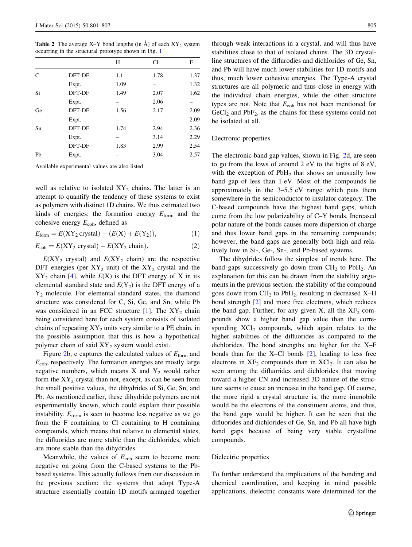<span id="page-4-0"></span>**Table 2** The average X–Y bond lengths (in  $\hat{A}$ ) of each XY<sub>2</sub> system occurring in the structural prototype shown in Fig. [1](#page-2-0)

|    |        | Н    | C1   | F    |
|----|--------|------|------|------|
| C  | DFT-DF | 1.1  | 1.78 | 1.37 |
|    | Expt.  | 1.09 |      | 1.32 |
| Si | DFT-DF | 1.49 | 2.07 | 1.62 |
|    | Expt.  |      | 2.06 |      |
| Ge | DFT-DF | 1.56 | 2.17 | 2.09 |
|    | Expt.  |      |      | 2.09 |
| Sn | DFT-DF | 1.74 | 2.94 | 2.36 |
|    | Expt.  |      | 3.14 | 2.29 |
|    | DFT-DF | 1.83 | 2.99 | 2.54 |
| Pb | Expt.  |      | 3.04 | 2.57 |
|    |        |      |      |      |

Available experimental values are also listed

well as relative to isolated  $XY_2$  chains. The latter is an attempt to quantify the tendency of these systems to exist as polymers with distinct 1D chains. We thus estimated two kinds of energies: the formation energy  $E_{\text{form}}$  and the cohesive energy  $E_{coh}$ , defined as

$$
E_{\text{form}} = E(XY_2 \text{ crystal}) - (E(X) + E(Y_2)), \tag{1}
$$

$$
E_{\rm coh} = E(XY_2 \text{ crystal}) - E(XY_2 \text{ chain}). \tag{2}
$$

 $E(XY_2 \text{ crystal})$  and  $E(XY_2 \text{ chain})$  are the respective DFT energies (per  $XY_2$  unit) of the  $XY_2$  crystal and the  $XY_2$  chain [[4\]](#page-6-0), while  $E(X)$  is the DFT energy of X in its elemental standard state and  $E(Y_2)$  is the DFT energy of a Y2 molecule. For elemental standard states, the diamond structure was considered for C, Si, Ge, and Sn, while Pb was considered in an FCC structure [\[1](#page-6-0)]. The  $XY_2$  chain being considered here for each system consists of isolated chains of repeating  $XY_2$  units very similar to a PE chain, in the possible assumption that this is how a hypothetical polymer chain of said  $XY_2$  system would exist.

Figure [2b](#page-3-0), c captures the calculated values of  $E_{\text{form}}$  and  $E<sub>coh</sub>$ , respectively. The formation energies are mostly large negative numbers, which means  $X$  and  $Y_2$  would rather form the  $XY_2$  crystal than not, except, as can be seen from the small positive values, the dihydrides of Si, Ge, Sn, and Pb. As mentioned earlier, these dihydride polymers are not experimentally known, which could explain their possible instability.  $E_{\text{form}}$  is seen to become less negative as we go from the F containing to Cl containing to H containing compounds, which means that relative to elemental states, the difluorides are more stable than the dichlorides, which are more stable than the dihydrides.

Meanwhile, the values of  $E_{coh}$  seem to become more negative on going from the C-based systems to the Pbbased systems. This actually follows from our discussion in the previous section: the systems that adopt Type-A structure essentially contain 1D motifs arranged together

through weak interactions in a crystal, and will thus have stabilities close to that of isolated chains. The 3D crystalline structures of the diflurodies and dichlorides of Ge, Sn, and Pb will have much lower stabilities for 1D motifs and thus, much lower cohesive energies. The Type-A crystal structures are all polymeric and thus close in energy with the individual chain energies, while the other structure types are not. Note that  $E_{coh}$  has not been mentioned for  $GeCl<sub>2</sub>$  and  $PbF<sub>2</sub>$ , as the chains for these systems could not be isolated at all.

## Electronic properties

The electronic band gap values, shown in Fig. [2](#page-3-0)d, are seen to go from the lows of around 2 eV to the highs of 8 eV, with the exception of  $PbH<sub>2</sub>$  that shows an unusually low band gap of less than 1 eV. Most of the compounds lie approximately in the 3–5.5 eV range which puts them somewhere in the semiconductor to insulator category. The C-based compounds have the highest band gaps, which come from the low polarizability of C–Y bonds. Increased polar nature of the bonds causes more dispersion of charge and thus lower band gaps in the remaining compounds; however, the band gaps are generally both high and relatively low in Si-, Ge-, Sn-, and Pb-based systems.

The dihydrides follow the simplest of trends here. The band gaps successively go down from  $CH<sub>2</sub>$  to  $PbH<sub>2</sub>$ . An explanation for this can be drawn from the stability arguments in the previous section: the stability of the compound goes down from  $CH<sub>2</sub>$  to PbH<sub>2</sub>, resulting in decreased X–H bond strength [\[2](#page-6-0)] and more free electrons, which reduces the band gap. Further, for any given X, all the  $XF_2$  compounds show a higher band gap value than the corresponding  $XCl<sub>2</sub>$  compounds, which again relates to the higher stabilities of the difluorides as compared to the dichlorides. The bond strengths are higher for the X–F bonds than for the X–Cl bonds [\[2](#page-6-0)], leading to less free electrons in  $XF_2$  compounds than in  $XCl_2$ . It can also be seen among the difluorides and dichlorides that moving toward a higher CN and increased 3D nature of the structure seems to cause an increase in the band gap. Of course, the more rigid a crystal structure is, the more immobile would be the electrons of the constituent atoms, and thus, the band gaps would be higher. It can be seen that the difluorides and dichlorides of Ge, Sn, and Pb all have high band gaps because of being very stable crystalline compounds.

#### Dielectric properties

To further understand the implications of the bonding and chemical coordination, and keeping in mind possible applications, dielectric constants were determined for the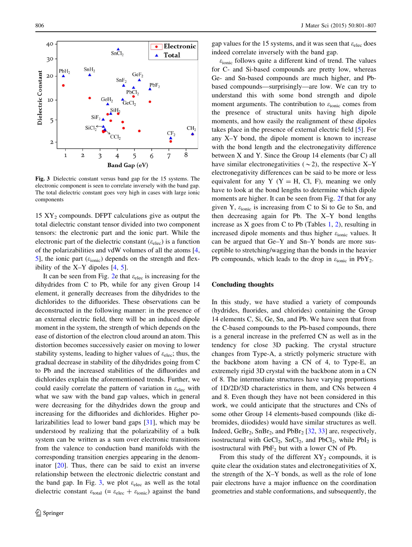

Fig. 3 Dielectric constant versus band gap for the 15 systems. The electronic component is seen to correlate inversely with the band gap. The total dielectric constant goes very high in cases with large ionic components

 $15 \text{ XY}_2$  compounds. DFPT calculations give as output the total dielectric constant tensor divided into two component tensors: the electronic part and the ionic part. While the electronic part of the dielectric constant ( $\varepsilon_{\text{elec}}$ ) is a function of the polarizabilities and vdW volumes of all the atoms [[4,](#page-6-0) [5](#page-6-0)], the ionic part  $(\varepsilon_{\text{ionic}})$  depends on the strength and flexibility of the  $X-Y$  dipoles  $[4, 5]$  $[4, 5]$  $[4, 5]$  $[4, 5]$ .

It can be seen from Fig. [2](#page-3-0)e that  $\varepsilon_{\text{elec}}$  is increasing for the dihydrides from C to Pb, while for any given Group 14 element, it generally decreases from the dihydrides to the dichlorides to the difluorides. These observations can be deconstructed in the following manner: in the presence of an external electric field, there will be an induced dipole moment in the system, the strength of which depends on the ease of distortion of the electron cloud around an atom. This distortion becomes successively easier on moving to lower stability systems, leading to higher values of  $\varepsilon_{elec}$ ; thus, the gradual decrease in stability of the dihydrides going from C to Pb and the increased stabilities of the difluorides and dichlorides explain the aforementioned trends. Further, we could easily correlate the pattern of variation in  $\varepsilon_{elec}$  with what we saw with the band gap values, which in general were decreasing for the dihydrides down the group and increasing for the difluorides and dichlorides. Higher polarizabilities lead to lower band gaps [\[31](#page-6-0)], which may be understood by realizing that the polarizability of a bulk system can be written as a sum over electronic transitions from the valence to conduction band manifolds with the corresponding transition energies appearing in the denominator [[20\]](#page-6-0). Thus, there can be said to exist an inverse relationship between the electronic dielectric constant and the band gap. In Fig. 3, we plot  $\varepsilon_{elec}$  as well as the total dielectric constant  $\varepsilon_{\text{total}}$  (=  $\varepsilon_{\text{elec}} + \varepsilon_{\text{ionic}}$ ) against the band gap values for the 15 systems, and it was seen that  $\varepsilon_{elec}$  does indeed correlate inversely with the band gap.

 $\varepsilon$ <sub>ionic</sub> follows quite a different kind of trend. The values for C- and Si-based compounds are pretty low, whereas Ge- and Sn-based compounds are much higher, and Pbbased compounds—surprisingly—are low. We can try to understand this with some bond strength and dipole moment arguments. The contribution to  $\varepsilon$ <sub>ionic</sub> comes from the presence of structural units having high dipole moments, and how easily the realignment of these dipoles takes place in the presence of external electric field [\[5](#page-6-0)]. For any X–Y bond, the dipole moment is known to increase with the bond length and the electronegativity difference between X and Y. Since the Group 14 elements (bar C) all have similar electronegativities ( $\sim$ 2), the respective X–Y electronegativity differences can be said to be more or less equivalent for any Y  $(Y = H, Cl, F)$ , meaning we only have to look at the bond lengths to determine which dipole moments are higher. It can be seen from Fig. [2f](#page-3-0) that for any given Y,  $\varepsilon$ <sub>ionic</sub> is increasing from C to Si to Ge to Sn, and then decreasing again for Pb. The X–Y bond lengths increase as X goes from C to Pb (Tables [1](#page-3-0), [2\)](#page-4-0), resulting in increased dipole moments and thus higher  $\varepsilon_{\text{ionic}}$  values. It can be argued that Ge–Y and Sn–Y bonds are more susceptible to stretching/wagging than the bonds in the heavier Pb compounds, which leads to the drop in  $\varepsilon_{\text{ionic}}$  in PbY<sub>2</sub>.

# Concluding thoughts

In this study, we have studied a variety of compounds (hydrides, fluorides, and chlorides) containing the Group 14 elements C, Si, Ge, Sn, and Pb. We have seen that from the C-based compounds to the Pb-based compounds, there is a general increase in the preferred CN as well as in the tendency for close 3D packing. The crystal structure changes from Type-A, a strictly polymeric structure with the backbone atom having a CN of 4, to Type-E, an extremely rigid 3D crystal with the backbone atom in a CN of 8. The intermediate structures have varying proportions of 1D/2D/3D characteristics in them, and CNs between 4 and 8. Even though they have not been considered in this work, we could anticipate that the structures and CNs of some other Group 14 elements-based compounds (like dibromides, diiodides) would have similar structures as well. Indeed, GeBr<sub>2</sub>, SnBr<sub>2</sub>, and PbBr<sub>2</sub> [\[32](#page-6-0), [33](#page-6-0)] are, respectively, isostructural with  $GeCl_2$ ,  $SnCl_2$ , and  $PbCl_2$ , while  $PbI_2$  is isostructural with  $PbF_2$  but with a lower CN of Pb.

From this study of the different  $XY_2$  compounds, it is quite clear the oxidation states and electronegativities of X, the strength of the X–Y bonds, as well as the role of lone pair electrons have a major influence on the coordination geometries and stable conformations, and subsequently, the